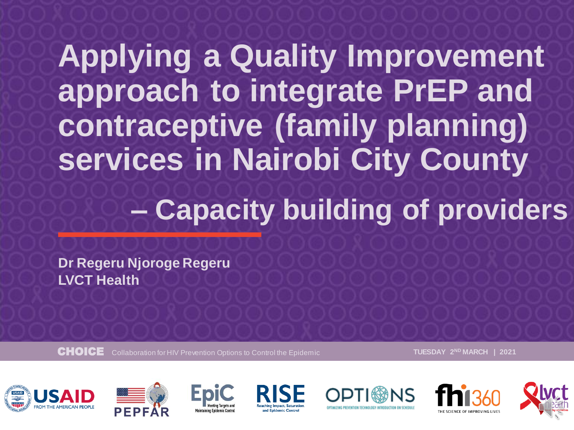### **Applying a Quality Improvement approach to integrate PrEP and contraceptive (family planning) services in Nairobi City County – Capacity building of providers**

**Dr Regeru Njoroge Regeru LVCT Health**

CHOICE Collaboration for HIV Prevention Options to Control the Epidemic **TUESDAY 2ND MARCH | 2021**













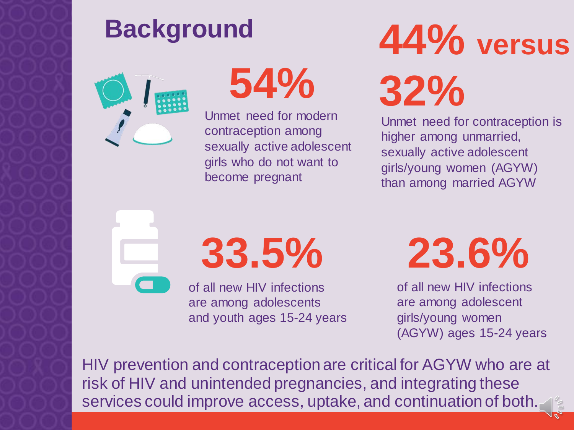### **Background**



**54%**

Unmet need for modern contraception among sexually active adolescent girls who do not want to become pregnant

# **44% versus 32%**

Unmet need for contraception is higher among unmarried, sexually active adolescent girls/young women (AGYW) than among married AGYW

**33.5%**

of all new HIV infections are among adolescents and youth ages 15-24 years **23.6%**

of all new HIV infections are among adolescent girls/young women (AGYW) ages 15-24 years

HIV prevention and contraception are critical for AGYW who are at risk of HIV and unintended pregnancies, and integrating these services could improve access, uptake, and continuation of both.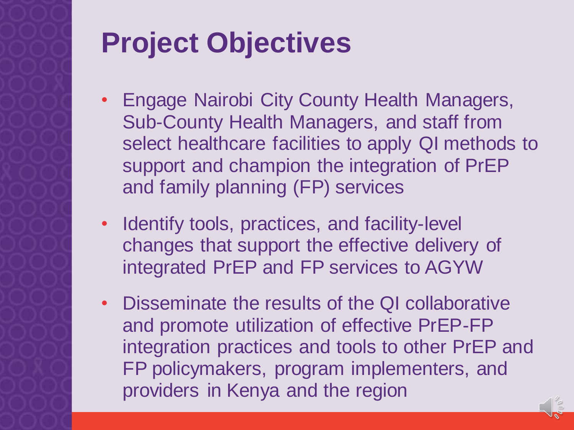### **Project Objectives**

- Engage Nairobi City County Health Managers, Sub-County Health Managers, and staff from select healthcare facilities to apply QI methods to support and champion the integration of PrEP and family planning (FP) services
- Identify tools, practices, and facility-level changes that support the effective delivery of integrated PrEP and FP services to AGYW
- Disseminate the results of the QI collaborative and promote utilization of effective PrEP-FP integration practices and tools to other PrEP and FP policymakers, program implementers, and providers in Kenya and the region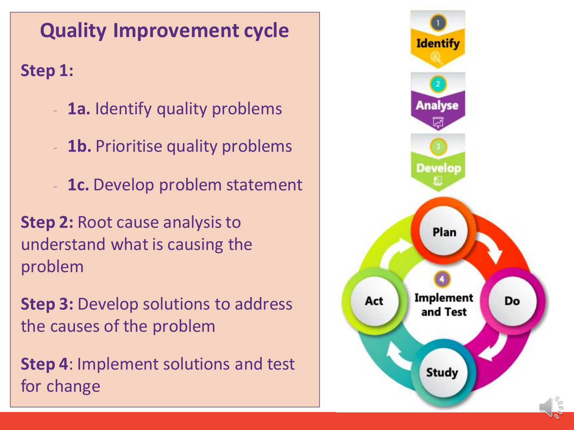### **Quality Improvement cycle**

**Step 1:**

- 1a. Identify quality problems
- **1b.** Prioritise quality problems
- **1c.** Develop problem statement

**Step 2:** Root cause analysis to understand what is causing the problem

**Step 3:** Develop solutions to address the causes of the problem

**Step 4**: Implement solutions and test for change

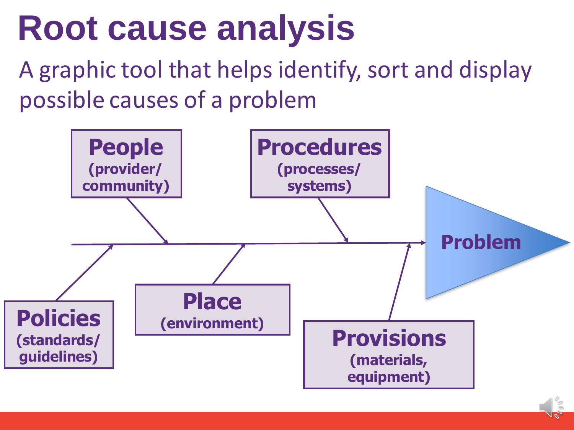## **Root cause analysis**

A graphic tool that helps identify, sort and display possible causes of a problem

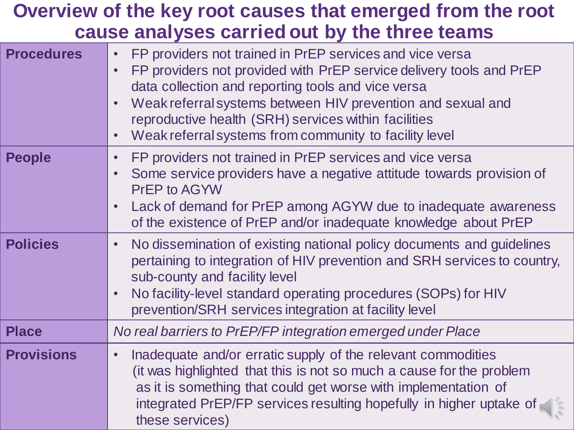#### **Overview of the key root causes that emerged from the root cause analyses carried out by the three teams**

| <b>Procedures</b> | FP providers not trained in PrEP services and vice versa<br>$\bullet$<br>FP providers not provided with PrEP service delivery tools and PrEP<br>data collection and reporting tools and vice versa<br>Weak referral systems between HIV prevention and sexual and<br>reproductive health (SRH) services within facilities<br>Weak referral systems from community to facility level |
|-------------------|-------------------------------------------------------------------------------------------------------------------------------------------------------------------------------------------------------------------------------------------------------------------------------------------------------------------------------------------------------------------------------------|
| <b>People</b>     | FP providers not trained in PrEP services and vice versa<br>$\bullet$<br>Some service providers have a negative attitude towards provision of<br><b>PrEP to AGYW</b><br>Lack of demand for PrEP among AGYW due to inadequate awareness<br>of the existence of PrEP and/or inadequate knowledge about PrEP                                                                           |
| <b>Policies</b>   | No dissemination of existing national policy documents and guidelines<br>pertaining to integration of HIV prevention and SRH services to country,<br>sub-county and facility level<br>No facility-level standard operating procedures (SOPs) for HIV<br>prevention/SRH services integration at facility level                                                                       |
| <b>Place</b>      | No real barriers to PrEP/FP integration emerged under Place                                                                                                                                                                                                                                                                                                                         |
| <b>Provisions</b> | Inadequate and/or erratic supply of the relevant commodities<br>$\bullet$<br>(it was highlighted that this is not so much a cause for the problem<br>as it is something that could get worse with implementation of<br>integrated PrEP/FP services resulting hopefully in higher uptake of<br>these services)                                                                       |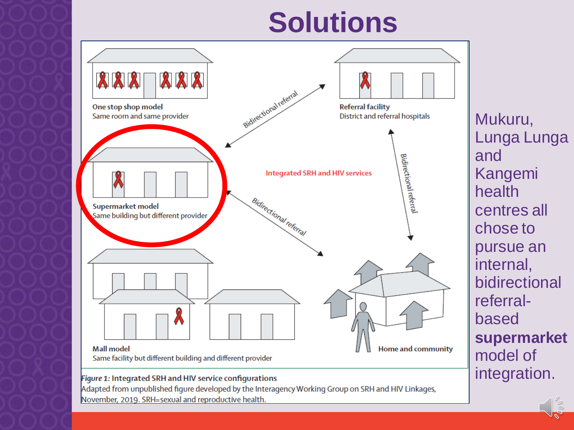### **Solutions**



#### Figure 1: Integrated SRH and HIV service configurations

Adapted from unpublished figure developed by the Interagency Working Group on SRH and HIV Linkages, November, 2019. SRH=sexual and reproductive health.

Mukuru, Lunga Lunga and Kangemi health centres all chose to pursue an internal, bidirectional referralbased **supermarket** model of integration.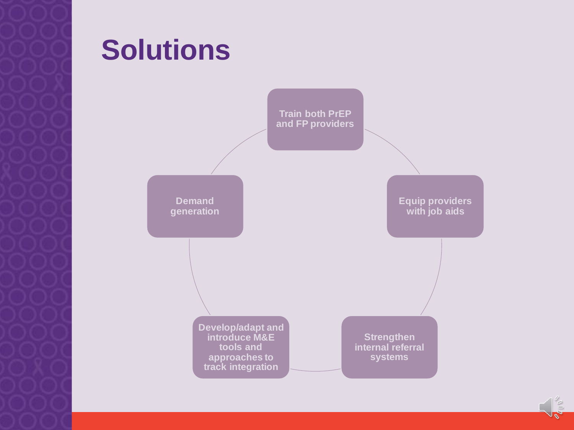### **Solutions**



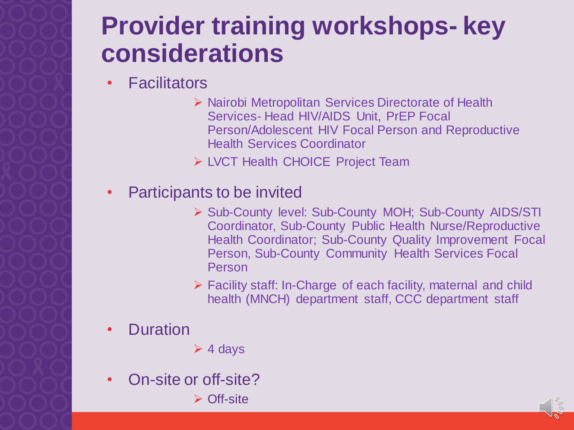### **Provider training workshops- key considerations**

- Facilitators
	- ➢ Nairobi Metropolitan Services Directorate of Health Services- Head HIV/AIDS Unit, PrEP Focal Person/Adolescent HIV Focal Person and Reproductive Health Services Coordinator
	- ➢ LVCT Health CHOICE Project Team
- Participants to be invited
	- ➢ Sub-County level: Sub-County MOH; Sub-County AIDS/STI Coordinator, Sub-County Public Health Nurse/Reproductive Health Coordinator; Sub-County Quality Improvement Focal Person, Sub-County Community Health Services Focal Person
	- ➢ Facility staff: In-Charge of each facility, maternal and child health (MNCH) department staff, CCC department staff
- **Duration**
- $\geq 4$  days
- On-site or off-site?
	- ➢ Off-site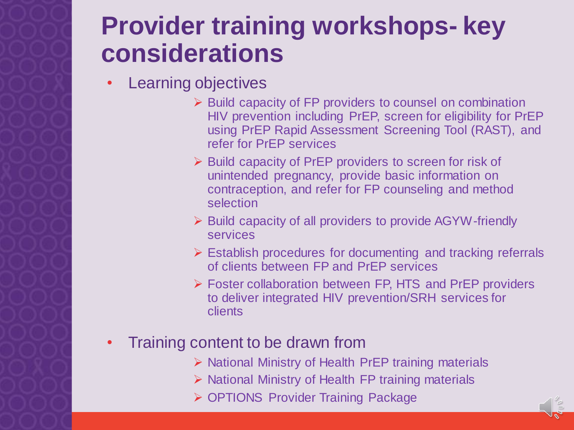### **Provider training workshops- key considerations**

- Learning objectives
	- ➢ Build capacity of FP providers to counsel on combination HIV prevention including PrEP, screen for eligibility for PrEP using PrEP Rapid Assessment Screening Tool (RAST), and refer for PrEP services
	- ➢ Build capacity of PrEP providers to screen for risk of unintended pregnancy, provide basic information on contraception, and refer for FP counseling and method selection
	- ➢ Build capacity of all providers to provide AGYW-friendly services
	- ➢ Establish procedures for documenting and tracking referrals of clients between FP and PrEP services
	- ➢ Foster collaboration between FP, HTS and PrEP providers to deliver integrated HIV prevention/SRH services for clients
- Training content to be drawn from
	- ➢ National Ministry of Health PrEP training materials
	- ➢ National Ministry of Health FP training materials
	- ➢ OPTIONS Provider Training Package